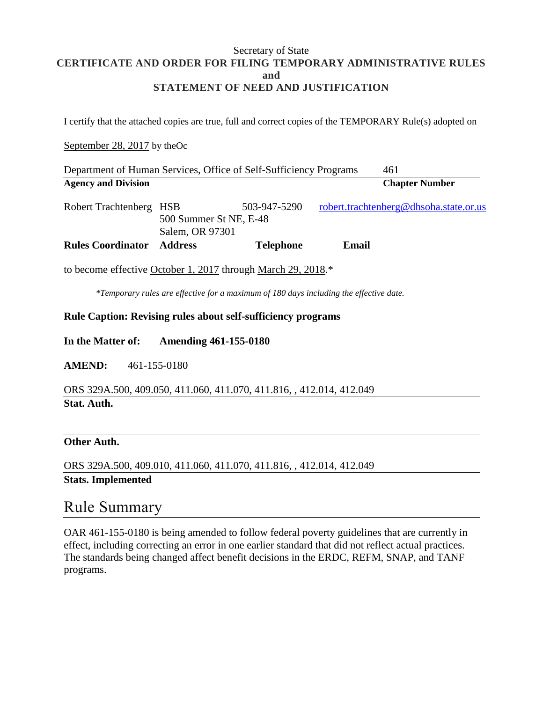#### Secretary of State **CERTIFICATE AND ORDER FOR FILING TEMPORARY ADMINISTRATIVE RULES and STATEMENT OF NEED AND JUSTIFICATION**

I certify that the attached copies are true, full and correct copies of the TEMPORARY Rule(s) adopted on

## September 28, 2017 by theOc

| <b>Rules Coordinator</b>                                          | <b>Address</b>         | <b>Telephone</b> | Email |                                        |
|-------------------------------------------------------------------|------------------------|------------------|-------|----------------------------------------|
|                                                                   | Salem, OR 97301        |                  |       |                                        |
|                                                                   | 500 Summer St NE, E-48 |                  |       |                                        |
| Robert Trachtenberg HSB                                           |                        | 503-947-5290     |       | robert.trachtenberg@dhsoha.state.or.us |
| <b>Agency and Division</b>                                        |                        |                  |       | <b>Chapter Number</b>                  |
| Department of Human Services, Office of Self-Sufficiency Programs |                        |                  |       | 461                                    |

to become effective October 1, 2017 through March 29, 2018.\*

*\*Temporary rules are effective for a maximum of 180 days including the effective date.*

#### **Rule Caption: Revising rules about self-sufficiency programs**

**In the Matter of: Amending 461-155-0180**

**AMEND:** 461-155-0180

ORS 329A.500, 409.050, 411.060, 411.070, 411.816, , 412.014, 412.049 **Stat. Auth.**

## **Other Auth.**

ORS 329A.500, 409.010, 411.060, 411.070, 411.816, , 412.014, 412.049 **Stats. Implemented**

## Rule Summary

OAR 461-155-0180 is being amended to follow federal poverty guidelines that are currently in effect, including correcting an error in one earlier standard that did not reflect actual practices. The standards being changed affect benefit decisions in the ERDC, REFM, SNAP, and TANF programs.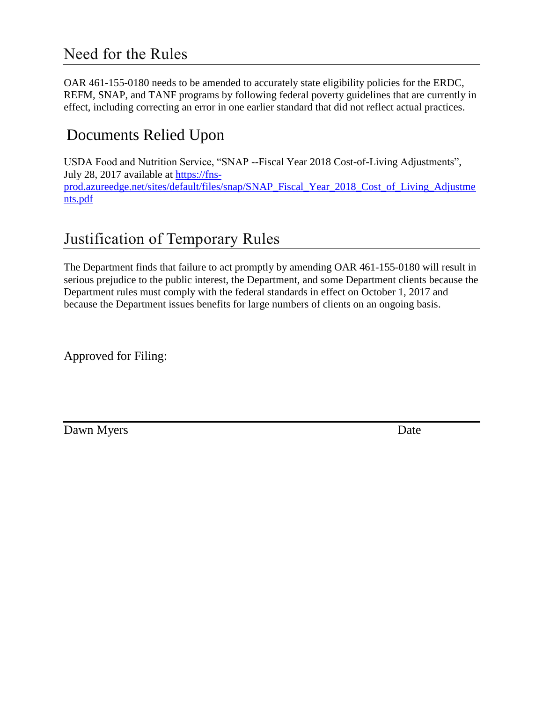## Need for the Rules

OAR 461-155-0180 needs to be amended to accurately state eligibility policies for the ERDC, REFM, SNAP, and TANF programs by following federal poverty guidelines that are currently in effect, including correcting an error in one earlier standard that did not reflect actual practices.

# Documents Relied Upon

USDA Food and Nutrition Service, "SNAP --Fiscal Year 2018 Cost-of-Living Adjustments", July 28, 2017 available at [https://fns](https://fns-prod.azureedge.net/sites/default/files/snap/SNAP_Fiscal_Year_2018_Cost_of_Living_Adjustments.pdf)[prod.azureedge.net/sites/default/files/snap/SNAP\\_Fiscal\\_Year\\_2018\\_Cost\\_of\\_Living\\_Adjustme](https://fns-prod.azureedge.net/sites/default/files/snap/SNAP_Fiscal_Year_2018_Cost_of_Living_Adjustments.pdf) [nts.pdf](https://fns-prod.azureedge.net/sites/default/files/snap/SNAP_Fiscal_Year_2018_Cost_of_Living_Adjustments.pdf)

# Justification of Temporary Rules

The Department finds that failure to act promptly by amending OAR 461-155-0180 will result in serious prejudice to the public interest, the Department, and some Department clients because the Department rules must comply with the federal standards in effect on October 1, 2017 and because the Department issues benefits for large numbers of clients on an ongoing basis.

Approved for Filing:

Dawn Myers Date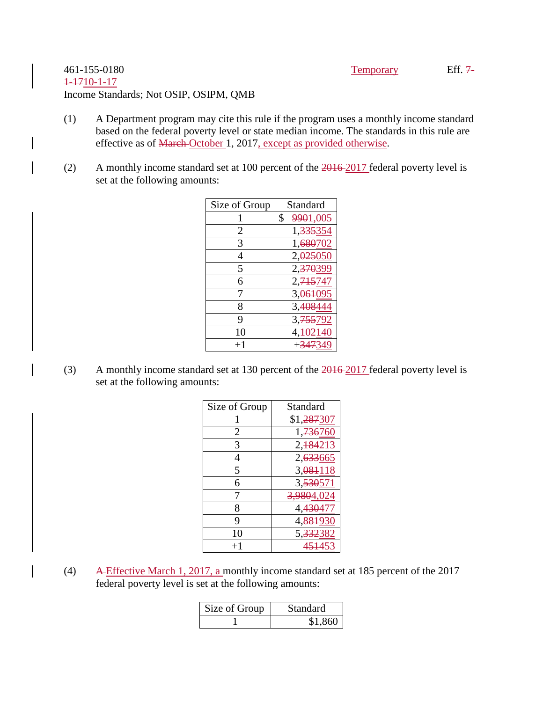## 461-155-0180 Temporary Eff. 7- 1-1710-1-17 Income Standards; Not OSIP, OSIPM, QMB

- (1) A Department program may cite this rule if the program uses a monthly income standard based on the federal poverty level or state median income. The standards in this rule are effective as of March October 1, 2017, except as provided otherwise.
- (2) A monthly income standard set at 100 percent of the 2016 2017 federal poverty level is set at the following amounts:

| Size of Group | Standard              |
|---------------|-----------------------|
| 1             | \$<br>9901,005        |
| 2             | 1,335354              |
| 3             | 1,680702              |
| 4             | 2,025050              |
| 5             | 2,370399              |
| 6             | 2, 715747             |
| 7             | 3,061095              |
| 8             | 3,408444              |
| 9             | 3, 755 792            |
| 10            | 4, <del>102</del> 140 |
| $+1$          | + <del>347</del> 349  |

(3) A monthly income standard set at 130 percent of the 2016 2017 federal poverty level is set at the following amounts:

| Size of Group | Standard                |
|---------------|-------------------------|
|               | \$1, <del>287</del> 307 |
| 2             | 1,736760                |
| 3             | 2, 184213               |
|               | 2, <del>633</del> 665   |
| 5             | 3,084118                |
| 6             | 3,530571                |
| 7             | 3,9804,024              |
| 8             | 4, <del>430</del> 477   |
| 9             | 4, <del>881</del> 931   |
| 10            | 5, 332382               |
| $+1$          | 454453                  |

(4) A Effective March 1, 2017, a monthly income standard set at 185 percent of the 2017 federal poverty level is set at the following amounts:

| Size of Group | Standard |
|---------------|----------|
|               | \$1,860  |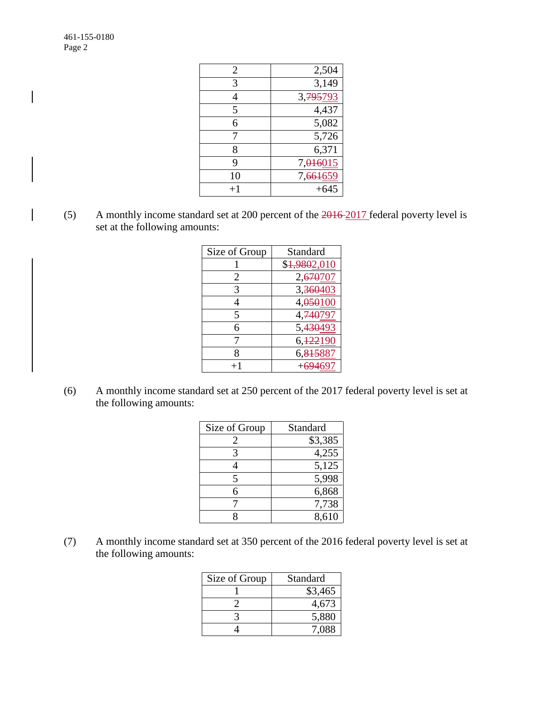| 2,504                 |
|-----------------------|
| 3,149                 |
| 3, 795793             |
| 4,437                 |
| 5,082                 |
| 5,726                 |
| 6,371                 |
| 7,016015              |
| 7, <del>661</del> 659 |
|                       |
|                       |

(5) A monthly income standard set at 200 percent of the 2016 2017 federal poverty level is set at the following amounts:

| Size of Group | Standard                    |
|---------------|-----------------------------|
|               | \$ <del>1,980</del> 2,010   |
| 2             | 2,670707                    |
| 3             | 3,36040                     |
|               | 4,050100                    |
| 5             | 4, <del>740</del> 797       |
| 6             | 5, <del>430<u>49:</u></del> |
|               | 6, 122190                   |
| 8             | 6,815887                    |
|               |                             |

(6) A monthly income standard set at 250 percent of the 2017 federal poverty level is set at the following amounts:

| Size of Group | Standard |
|---------------|----------|
|               | \$3,385  |
| 3             | 4,255    |
|               | 5,125    |
| 5             | 5,998    |
| 6             | 6,868    |
|               | 7,738    |
|               | 8.610    |

(7) A monthly income standard set at 350 percent of the 2016 federal poverty level is set at the following amounts:

| Size of Group | Standard |
|---------------|----------|
|               | \$3,465  |
|               | 4,673    |
|               | 5,880    |
|               | 7.088    |